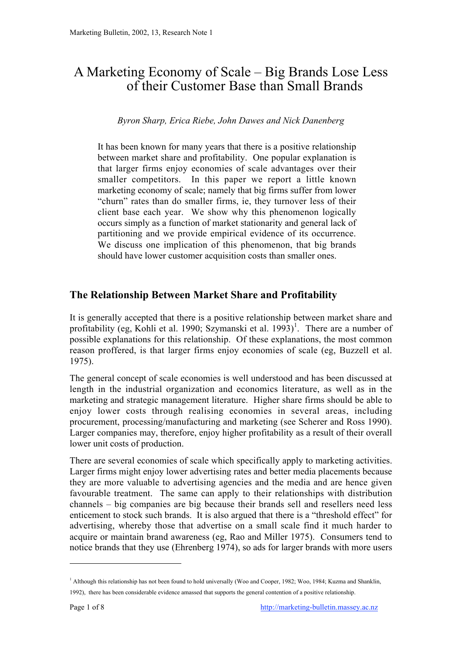# A Marketing Economy of Scale – Big Brands Lose Less of their Customer Base than Small Brands

*Byron Sharp, Erica Riebe, John Dawes and Nick Danenberg*

It has been known for many years that there is a positive relationship between market share and profitability. One popular explanation is that larger firms enjoy economies of scale advantages over their smaller competitors. In this paper we report a little known marketing economy of scale; namely that big firms suffer from lower "churn" rates than do smaller firms, ie, they turnover less of their client base each year. We show why this phenomenon logically occurs simply as a function of market stationarity and general lack of partitioning and we provide empirical evidence of its occurrence. We discuss one implication of this phenomenon, that big brands should have lower customer acquisition costs than smaller ones.

## **The Relationship Between Market Share and Profitability**

It is generally accepted that there is a positive relationship between market share and profitability (eg, Kohli et al. 1990; Szymanski et al. 1993)<sup>1</sup>. There are a number of possible explanations for this relationship. Of these explanations, the most common reason proffered, is that larger firms enjoy economies of scale (eg, Buzzell et al. 1975).

The general concept of scale economies is well understood and has been discussed at length in the industrial organization and economics literature, as well as in the marketing and strategic management literature. Higher share firms should be able to enjoy lower costs through realising economies in several areas, including procurement, processing/manufacturing and marketing (see Scherer and Ross 1990). Larger companies may, therefore, enjoy higher profitability as a result of their overall lower unit costs of production.

There are several economies of scale which specifically apply to marketing activities. Larger firms might enjoy lower advertising rates and better media placements because they are more valuable to advertising agencies and the media and are hence given favourable treatment. The same can apply to their relationships with distribution channels – big companies are big because their brands sell and resellers need less enticement to stock such brands. It is also argued that there is a "threshold effect" for advertising, whereby those that advertise on a small scale find it much harder to acquire or maintain brand awareness (eg, Rao and Miller 1975). Consumers tend to notice brands that they use (Ehrenberg 1974), so ads for larger brands with more users

 $\overline{a}$ 

<sup>&</sup>lt;sup>1</sup> Although this relationship has not been found to hold universally (Woo and Cooper, 1982; Woo, 1984; Kuzma and Shanklin, 1992), there has been considerable evidence amassed that supports the general contention of a positive relationship.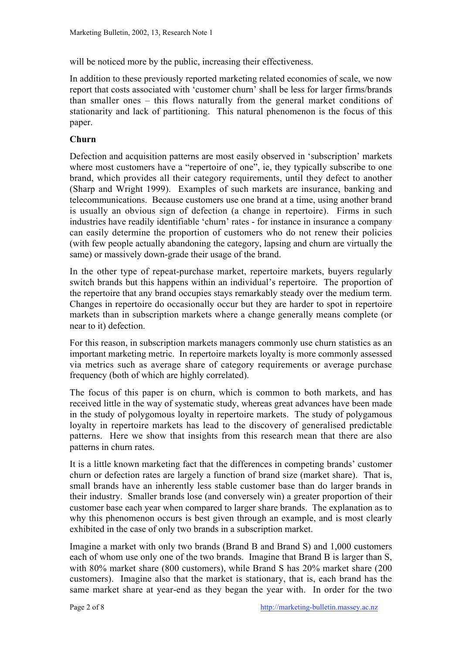will be noticed more by the public, increasing their effectiveness.

In addition to these previously reported marketing related economies of scale, we now report that costs associated with 'customer churn' shall be less for larger firms/brands than smaller ones – this flows naturally from the general market conditions of stationarity and lack of partitioning. This natural phenomenon is the focus of this paper.

#### **Churn**

Defection and acquisition patterns are most easily observed in 'subscription' markets where most customers have a "repertoire of one", ie, they typically subscribe to one brand, which provides all their category requirements, until they defect to another (Sharp and Wright 1999). Examples of such markets are insurance, banking and telecommunications. Because customers use one brand at a time, using another brand is usually an obvious sign of defection (a change in repertoire). Firms in such industries have readily identifiable 'churn' rates - for instance in insurance a company can easily determine the proportion of customers who do not renew their policies (with few people actually abandoning the category, lapsing and churn are virtually the same) or massively down-grade their usage of the brand.

In the other type of repeat-purchase market, repertoire markets, buyers regularly switch brands but this happens within an individual's repertoire. The proportion of the repertoire that any brand occupies stays remarkably steady over the medium term. Changes in repertoire do occasionally occur but they are harder to spot in repertoire markets than in subscription markets where a change generally means complete (or near to it) defection.

For this reason, in subscription markets managers commonly use churn statistics as an important marketing metric. In repertoire markets loyalty is more commonly assessed via metrics such as average share of category requirements or average purchase frequency (both of which are highly correlated).

The focus of this paper is on churn, which is common to both markets, and has received little in the way of systematic study, whereas great advances have been made in the study of polygomous loyalty in repertoire markets. The study of polygamous loyalty in repertoire markets has lead to the discovery of generalised predictable patterns. Here we show that insights from this research mean that there are also patterns in churn rates.

It is a little known marketing fact that the differences in competing brands' customer churn or defection rates are largely a function of brand size (market share). That is, small brands have an inherently less stable customer base than do larger brands in their industry. Smaller brands lose (and conversely win) a greater proportion of their customer base each year when compared to larger share brands. The explanation as to why this phenomenon occurs is best given through an example, and is most clearly exhibited in the case of only two brands in a subscription market.

Imagine a market with only two brands (Brand B and Brand S) and 1,000 customers each of whom use only one of the two brands. Imagine that Brand B is larger than S, with 80% market share (800 customers), while Brand S has 20% market share (200 customers). Imagine also that the market is stationary, that is, each brand has the same market share at year-end as they began the year with. In order for the two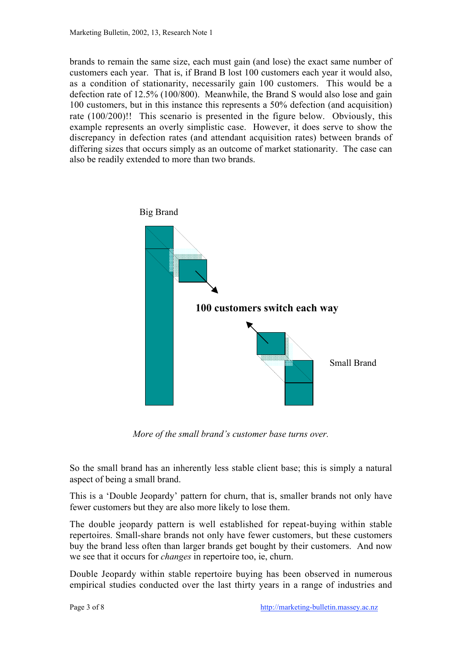brands to remain the same size, each must gain (and lose) the exact same number of customers each year. That is, if Brand B lost 100 customers each year it would also, as a condition of stationarity, necessarily gain 100 customers. This would be a defection rate of 12.5% (100/800). Meanwhile, the Brand S would also lose and gain 100 customers, but in this instance this represents a 50% defection (and acquisition) rate (100/200)!! This scenario is presented in the figure below. Obviously, this example represents an overly simplistic case. However, it does serve to show the discrepancy in defection rates (and attendant acquisition rates) between brands of differing sizes that occurs simply as an outcome of market stationarity. The case can also be readily extended to more than two brands.



*More of the small brand's customer base turns over.*

So the small brand has an inherently less stable client base; this is simply a natural aspect of being a small brand.

This is a 'Double Jeopardy' pattern for churn, that is, smaller brands not only have fewer customers but they are also more likely to lose them.

The double jeopardy pattern is well established for repeat-buying within stable repertoires. Small-share brands not only have fewer customers, but these customers buy the brand less often than larger brands get bought by their customers. And now we see that it occurs for *changes* in repertoire too, ie, churn.

Double Jeopardy within stable repertoire buying has been observed in numerous empirical studies conducted over the last thirty years in a range of industries and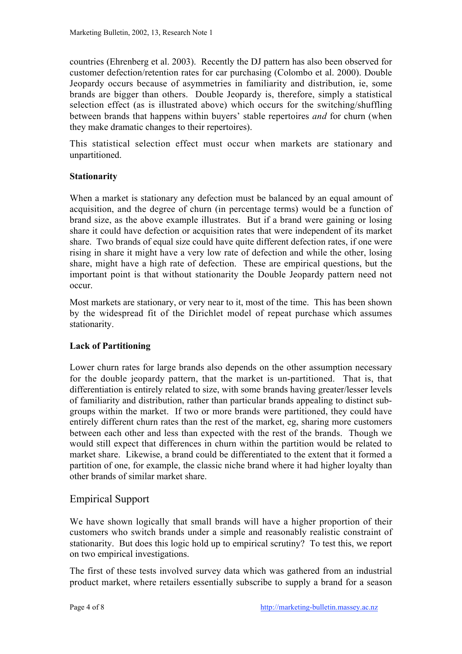countries (Ehrenberg et al. 2003). Recently the DJ pattern has also been observed for customer defection/retention rates for car purchasing (Colombo et al. 2000). Double Jeopardy occurs because of asymmetries in familiarity and distribution, ie, some brands are bigger than others. Double Jeopardy is, therefore, simply a statistical selection effect (as is illustrated above) which occurs for the switching/shuffling between brands that happens within buyers' stable repertoires *and* for churn (when they make dramatic changes to their repertoires).

This statistical selection effect must occur when markets are stationary and unpartitioned.

#### **Stationarity**

When a market is stationary any defection must be balanced by an equal amount of acquisition, and the degree of churn (in percentage terms) would be a function of brand size, as the above example illustrates. But if a brand were gaining or losing share it could have defection or acquisition rates that were independent of its market share. Two brands of equal size could have quite different defection rates, if one were rising in share it might have a very low rate of defection and while the other, losing share, might have a high rate of defection. These are empirical questions, but the important point is that without stationarity the Double Jeopardy pattern need not occur.

Most markets are stationary, or very near to it, most of the time. This has been shown by the widespread fit of the Dirichlet model of repeat purchase which assumes stationarity.

#### **Lack of Partitioning**

Lower churn rates for large brands also depends on the other assumption necessary for the double jeopardy pattern, that the market is un-partitioned. That is, that differentiation is entirely related to size, with some brands having greater/lesser levels of familiarity and distribution, rather than particular brands appealing to distinct subgroups within the market. If two or more brands were partitioned, they could have entirely different churn rates than the rest of the market, eg, sharing more customers between each other and less than expected with the rest of the brands. Though we would still expect that differences in churn within the partition would be related to market share. Likewise, a brand could be differentiated to the extent that it formed a partition of one, for example, the classic niche brand where it had higher loyalty than other brands of similar market share.

#### Empirical Support

We have shown logically that small brands will have a higher proportion of their customers who switch brands under a simple and reasonably realistic constraint of stationarity. But does this logic hold up to empirical scrutiny? To test this, we report on two empirical investigations.

The first of these tests involved survey data which was gathered from an industrial product market, where retailers essentially subscribe to supply a brand for a season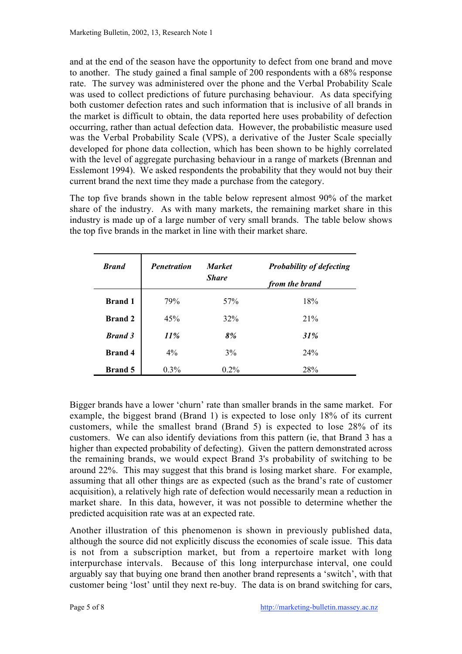and at the end of the season have the opportunity to defect from one brand and move to another. The study gained a final sample of 200 respondents with a 68% response rate. The survey was administered over the phone and the Verbal Probability Scale was used to collect predictions of future purchasing behaviour. As data specifying both customer defection rates and such information that is inclusive of all brands in the market is difficult to obtain, the data reported here uses probability of defection occurring, rather than actual defection data. However, the probabilistic measure used was the Verbal Probability Scale (VPS), a derivative of the Juster Scale specially developed for phone data collection, which has been shown to be highly correlated with the level of aggregate purchasing behaviour in a range of markets (Brennan and Esslemont 1994). We asked respondents the probability that they would not buy their current brand the next time they made a purchase from the category.

The top five brands shown in the table below represent almost 90% of the market share of the industry. As with many markets, the remaining market share in this industry is made up of a large number of very small brands. The table below shows the top five brands in the market in line with their market share.

| <b>Brand</b>   | <b>Penetration</b> | <b>Market</b><br><b>Share</b> | <b>Probability of defecting</b><br>from the brand |
|----------------|--------------------|-------------------------------|---------------------------------------------------|
| <b>Brand 1</b> | 79%                | 57%                           | 18%                                               |
| <b>Brand 2</b> | 45%                | 32%                           | 21%                                               |
| <b>Brand 3</b> | 11%                | 8%                            | 31%                                               |
| <b>Brand 4</b> | $4\%$              | 3%                            | 24%                                               |
| <b>Brand</b> 5 | $0.3\%$            | $0.2\%$                       | 28%                                               |

Bigger brands have a lower 'churn' rate than smaller brands in the same market. For example, the biggest brand (Brand 1) is expected to lose only 18% of its current customers, while the smallest brand (Brand 5) is expected to lose 28% of its customers. We can also identify deviations from this pattern (ie, that Brand 3 has a higher than expected probability of defecting). Given the pattern demonstrated across the remaining brands, we would expect Brand 3's probability of switching to be around 22%. This may suggest that this brand is losing market share. For example, assuming that all other things are as expected (such as the brand's rate of customer acquisition), a relatively high rate of defection would necessarily mean a reduction in market share. In this data, however, it was not possible to determine whether the predicted acquisition rate was at an expected rate.

Another illustration of this phenomenon is shown in previously published data, although the source did not explicitly discuss the economies of scale issue. This data is not from a subscription market, but from a repertoire market with long interpurchase intervals. Because of this long interpurchase interval, one could arguably say that buying one brand then another brand represents a 'switch', with that customer being 'lost' until they next re-buy. The data is on brand switching for cars,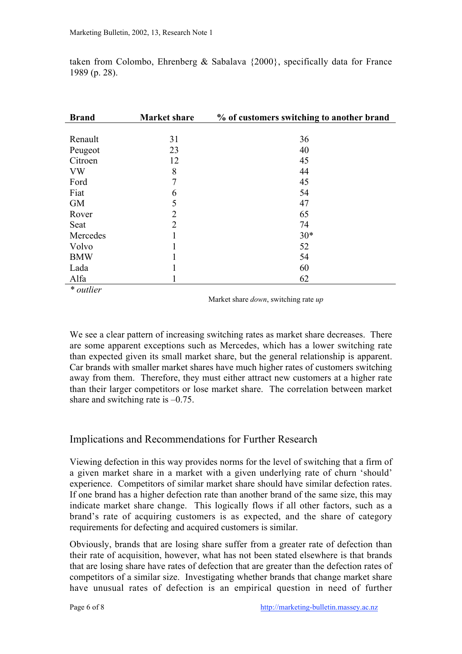| <b>Brand</b> | <b>Market share</b> | % of customers switching to another brand |
|--------------|---------------------|-------------------------------------------|
|              |                     |                                           |
| Renault      | 31                  | 36                                        |
| Peugeot      | 23                  | 40                                        |
| Citroen      | 12                  | 45                                        |
| <b>VW</b>    | 8                   | 44                                        |
| Ford         | 7                   | 45                                        |
| Fiat         | 6                   | 54                                        |
| <b>GM</b>    | 5                   | 47                                        |
| Rover        | $\overline{2}$      | 65                                        |
| Seat         | $\overline{2}$      | 74                                        |
| Mercedes     | 1                   | $30*$                                     |
| Volvo        | 1                   | 52                                        |
| <b>BMW</b>   | 1                   | 54                                        |
| Lada         | 1<br>ı              | 60                                        |
| Alfa         | 1                   | 62                                        |

taken from Colombo, Ehrenberg & Sabalava {2000}, specifically data for France 1989 (p. 28).

*\* outlier*

Market share *down*, switching rate *up*

We see a clear pattern of increasing switching rates as market share decreases. There are some apparent exceptions such as Mercedes, which has a lower switching rate than expected given its small market share, but the general relationship is apparent. Car brands with smaller market shares have much higher rates of customers switching away from them. Therefore, they must either attract new customers at a higher rate than their larger competitors or lose market share. The correlation between market share and switching rate is  $-0.75$ .

## Implications and Recommendations for Further Research

Viewing defection in this way provides norms for the level of switching that a firm of a given market share in a market with a given underlying rate of churn 'should' experience. Competitors of similar market share should have similar defection rates. If one brand has a higher defection rate than another brand of the same size, this may indicate market share change. This logically flows if all other factors, such as a brand's rate of acquiring customers is as expected, and the share of category requirements for defecting and acquired customers is similar.

Obviously, brands that are losing share suffer from a greater rate of defection than their rate of acquisition, however, what has not been stated elsewhere is that brands that are losing share have rates of defection that are greater than the defection rates of competitors of a similar size. Investigating whether brands that change market share have unusual rates of defection is an empirical question in need of further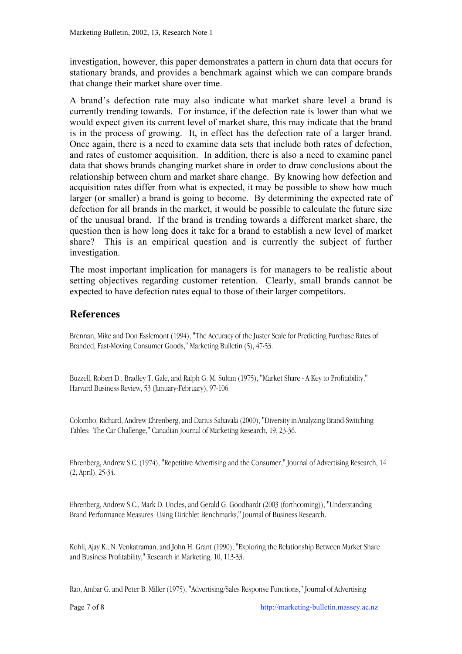investigation, however, this paper demonstrates a pattern in churn data that occurs for stationary brands, and provides a benchmark against which we can compare brands that change their market share over time.

A brand's defection rate may also indicate what market share level a brand is currently trending towards. For instance, if the defection rate is lower than what we would expect given its current level of market share, this may indicate that the brand is in the process of growing. It, in effect has the defection rate of a larger brand. Once again, there is a need to examine data sets that include both rates of defection, and rates of customer acquisition. In addition, there is also a need to examine panel data that shows brands changing market share in order to draw conclusions about the relationship between churn and market share change. By knowing how defection and acquisition rates differ from what is expected, it may be possible to show how much larger (or smaller) a brand is going to become. By determining the expected rate of defection for all brands in the market, it would be possible to calculate the future size of the unusual brand. If the brand is trending towards a different market share, the question then is how long does it take for a brand to establish a new level of market share? This is an empirical question and is currently the subject of further investigation.

The most important implication for managers is for managers to be realistic about setting objectives regarding customer retention. Clearly, small brands cannot be expected to have defection rates equal to those of their larger competitors.

### **References**

Brennan, Mike and Don Esslemont (1994), "The Accuracy of the Juster Scale for Predicting Purchase Rates of Branded, Fast-Moving Consumer Goods," Marketing Bulletin (5), 47-53.

Buzzell, Robert D., Bradley T. Gale, and Ralph G. M. Sultan (1975), "Market Share - A Key to Profitability," Harvard Business Review, 53 (January-February), 97-106.

Colombo, Richard, Andrew Ehrenberg, and Darius Sabavala (2000), "Diversity in Analyzing Brand-Switching Tables: The Car Challenge," Canadian Journal of Marketing Research, 19, 23-36.

Ehrenberg, Andrew S.C. (1974), "Repetitive Advertising and the Consumer," Journal of Advertising Research, 14 (2, April), 25-34.

Ehrenberg, Andrew S.C., Mark D. Uncles, and Gerald G. Goodhardt (2003 (forthcoming)), "Understanding Brand Performance Measures: Using Dirichlet Benchmarks," Journal of Business Research.

Kohli, Ajay K., N. Venkatraman, and John H. Grant (1990), "Exploring the Relationship Between Market Share and Business Profitability," Research in Marketing, 10, 113-33.

Rao, Ambar G. and Peter B. Miller (1975), "Advertising/Sales Response Functions," Journal of Advertising